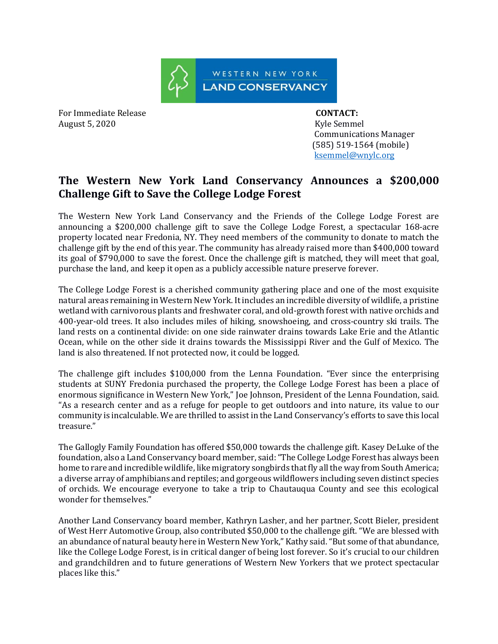

For Immediate Release **CONTACT:**  August 5, 2020 **Kyle Semmel** 

 Communications Manager (585) 519-1564 (mobile) [ksemmel@wnylc.org](mailto:ksemmel@wnylc.org)

## **The Western New York Land Conservancy Announces a \$200,000 Challenge Gift to Save the College Lodge Forest**

The Western New York Land Conservancy and the Friends of the College Lodge Forest are announcing a \$200,000 challenge gift to save the College Lodge Forest, a spectacular 168-acre property located near Fredonia, NY. They need members of the community to donate to match the challenge gift by the end of this year. The community has already raised more than \$400,000 toward its goal of \$790,000 to save the forest. Once the challenge gift is matched, they will meet that goal, purchase the land, and keep it open as a publicly accessible nature preserve forever.

The College Lodge Forest is a cherished community gathering place and one of the most exquisite natural areas remaining in Western New York. It includes an incredible diversity of wildlife, a pristine wetland with carnivorous plants and freshwater coral, and old-growth forest with native orchids and 400-year-old trees. It also includes miles of hiking, snowshoeing, and cross-country ski trails. The land rests on a continental divide: on one side rainwater drains towards Lake Erie and the Atlantic Ocean, while on the other side it drains towards the Mississippi River and the Gulf of Mexico. The land is also threatened. If not protected now, it could be logged.

The challenge gift includes \$100,000 from the Lenna Foundation. "Ever since the enterprising students at SUNY Fredonia purchased the property, the College Lodge Forest has been a place of enormous significance in Western New York," Joe Johnson, President of the Lenna Foundation, said. "As a research center and as a refuge for people to get outdoors and into nature, its value to our community is incalculable. We are thrilled to assist in the Land Conservancy's efforts to save this local treasure."

The Gallogly Family Foundation has offered \$50,000 towards the challenge gift. Kasey DeLuke of the foundation, also a Land Conservancy board member, said: "The College Lodge Forest has always been home to rare and incredible wildlife, like migratory songbirds that fly all the way from South America; a diverse array of amphibians and reptiles; and gorgeous wildflowers including seven distinct species of orchids. We encourage everyone to take a trip to Chautauqua County and see this ecological wonder for themselves."

Another Land Conservancy board member, Kathryn Lasher, and her partner, Scott Bieler, president of West Herr Automotive Group, also contributed \$50,000 to the challenge gift. "We are blessed with an abundance of natural beauty here in Western New York," Kathy said."But some of that abundance, like the College Lodge Forest, is in critical danger of being lost forever. So it's crucial to our children and grandchildren and to future generations of Western New Yorkers that we protect spectacular places like this."